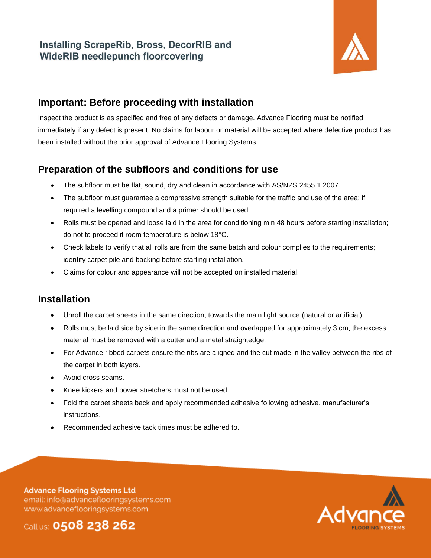## **Installing ScrapeRib, Bross, DecorRIB and WideRIB needlepunch floorcovering**



#### **Important: Before proceeding with installation**

Inspect the product is as specified and free of any defects or damage. Advance Flooring must be notified immediately if any defect is present. No claims for labour or material will be accepted where defective product has been installed without the prior approval of Advance Flooring Systems.

# **Preparation of the subfloors and conditions for use**

- The subfloor must be flat, sound, dry and clean in accordance with AS/NZS 2455.1.2007.
- The subfloor must guarantee a compressive strength suitable for the traffic and use of the area; if required a levelling compound and a primer should be used.
- Rolls must be opened and loose laid in the area for conditioning min 48 hours before starting installation; do not to proceed if room temperature is below 18°C.
- Check labels to verify that all rolls are from the same batch and colour complies to the requirements; identify carpet pile and backing before starting installation.
- Claims for colour and appearance will not be accepted on installed material.

### **Installation**

- Unroll the carpet sheets in the same direction, towards the main light source (natural or artificial).
- Rolls must be laid side by side in the same direction and overlapped for approximately 3 cm; the excess material must be removed with a cutter and a metal straightedge.
- For Advance ribbed carpets ensure the ribs are aligned and the cut made in the valley between the ribs of the carpet in both layers.
- Avoid cross seams.
- Knee kickers and power stretchers must not be used.
- Fold the carpet sheets back and apply recommended adhesive following adhesive. manufacturer's instructions.
- Recommended adhesive tack times must be adhered to.

**Advance Flooring Systems Ltd** email: info@advanceflooringsystems.com www.advanceflooringsystems.com



Call us: 0508 238 262